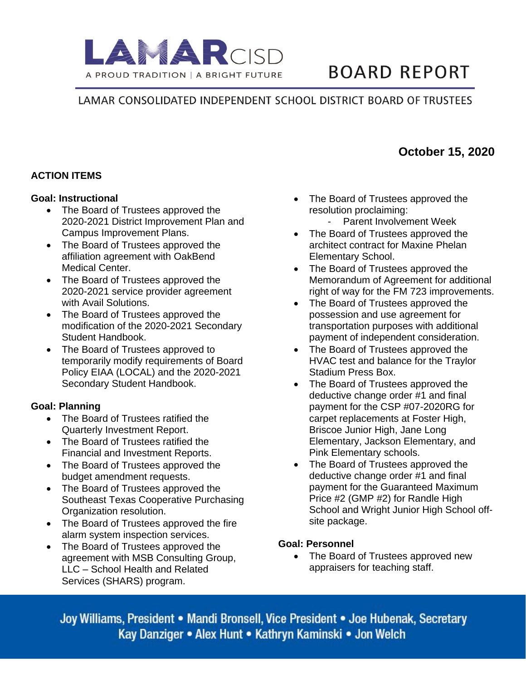

# **BOARD REPORT**

## LAMAR CONSOLIDATED INDEPENDENT SCHOOL DISTRICT BOARD OF TRUSTEES

### **ACTION ITEMS**

#### **Goal: Instructional**

- The Board of Trustees approved the 2020-2021 District Improvement Plan and Campus Improvement Plans.
- The Board of Trustees approved the affiliation agreement with OakBend Medical Center.
- The Board of Trustees approved the 2020-2021 service provider agreement with Avail Solutions.
- The Board of Trustees approved the modification of the 2020-2021 Secondary Student Handbook.
- The Board of Trustees approved to temporarily modify requirements of Board Policy EIAA (LOCAL) and the 2020-2021 Secondary Student Handbook.

#### **Goal: Planning**

- The Board of Trustees ratified the Quarterly Investment Report.
- The Board of Trustees ratified the Financial and Investment Reports.
- The Board of Trustees approved the budget amendment requests.
- The Board of Trustees approved the Southeast Texas Cooperative Purchasing Organization resolution.
- The Board of Trustees approved the fire alarm system inspection services.
- The Board of Trustees approved the agreement with MSB Consulting Group, LLC – School Health and Related Services (SHARS) program.
- The Board of Trustees approved the resolution proclaiming:
	- Parent Involvement Week
- The Board of Trustees approved the architect contract for Maxine Phelan Elementary School.
- The Board of Trustees approved the Memorandum of Agreement for additional right of way for the FM 723 improvements.
- The Board of Trustees approved the possession and use agreement for transportation purposes with additional payment of independent consideration.
- The Board of Trustees approved the HVAC test and balance for the Traylor Stadium Press Box.
- The Board of Trustees approved the deductive change order #1 and final payment for the CSP #07-2020RG for carpet replacements at Foster High, Briscoe Junior High, Jane Long Elementary, Jackson Elementary, and Pink Elementary schools.
- The Board of Trustees approved the deductive change order #1 and final payment for the Guaranteed Maximum Price #2 (GMP #2) for Randle High School and Wright Junior High School offsite package.

#### **Goal: Personnel**

• The Board of Trustees approved new appraisers for teaching staff.

Joy Williams, President • Mandi Bronsell, Vice President • Joe Hubenak, Secretary Kay Danziger • Alex Hunt • Kathryn Kaminski • Jon Welch

## **October 15, 2020**